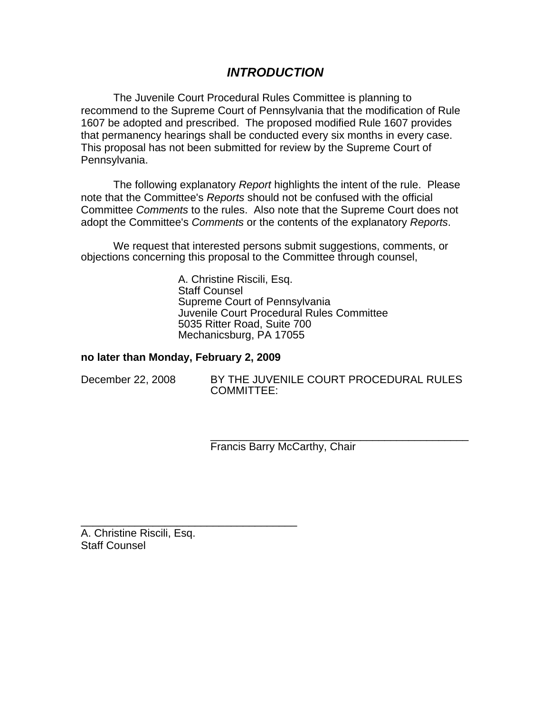# *INTRODUCTION*

The Juvenile Court Procedural Rules Committee is planning to recommend to the Supreme Court of Pennsylvania that the modification of Rule 1607 be adopted and prescribed. The proposed modified Rule 1607 provides that permanency hearings shall be conducted every six months in every case. This proposal has not been submitted for review by the Supreme Court of Pennsylvania.

The following explanatory *Report* highlights the intent of the rule. Please note that the Committee's *Reports* should not be confused with the official Committee *Comments* to the rules. Also note that the Supreme Court does not adopt the Committee's *Comments* or the contents of the explanatory *Reports*.

We request that interested persons submit suggestions, comments, or objections concerning this proposal to the Committee through counsel,

> A. Christine Riscili, Esq. Staff Counsel Supreme Court of Pennsylvania Juvenile Court Procedural Rules Committee 5035 Ritter Road, Suite 700 Mechanicsburg, PA 17055

### **no later than Monday, February 2, 2009**

\_\_\_\_\_\_\_\_\_\_\_\_\_\_\_\_\_\_\_\_\_\_\_\_\_\_\_\_\_\_\_\_\_\_\_\_

| December 22, 2008 |  |  |
|-------------------|--|--|
|-------------------|--|--|

BY THE JUVENILE COURT PROCEDURAL RULES COMMITTEE:

\_\_\_\_\_\_\_\_\_\_\_\_\_\_\_\_\_\_\_\_\_\_\_\_\_\_\_\_\_\_\_\_\_\_\_\_\_\_\_\_\_\_\_ Francis Barry McCarthy, Chair

A. Christine Riscili, Esq. Staff Counsel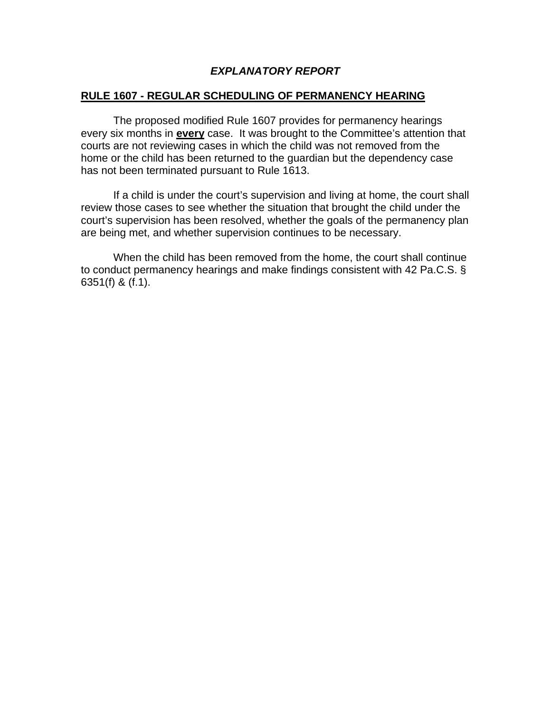## *EXPLANATORY REPORT*

### **RULE 1607 - REGULAR SCHEDULING OF PERMANENCY HEARING**

The proposed modified Rule 1607 provides for permanency hearings every six months in **every** case. It was brought to the Committee's attention that courts are not reviewing cases in which the child was not removed from the home or the child has been returned to the guardian but the dependency case has not been terminated pursuant to Rule 1613.

If a child is under the court's supervision and living at home, the court shall review those cases to see whether the situation that brought the child under the court's supervision has been resolved, whether the goals of the permanency plan are being met, and whether supervision continues to be necessary.

When the child has been removed from the home, the court shall continue to conduct permanency hearings and make findings consistent with 42 Pa.C.S. § 6351(f) & (f.1).